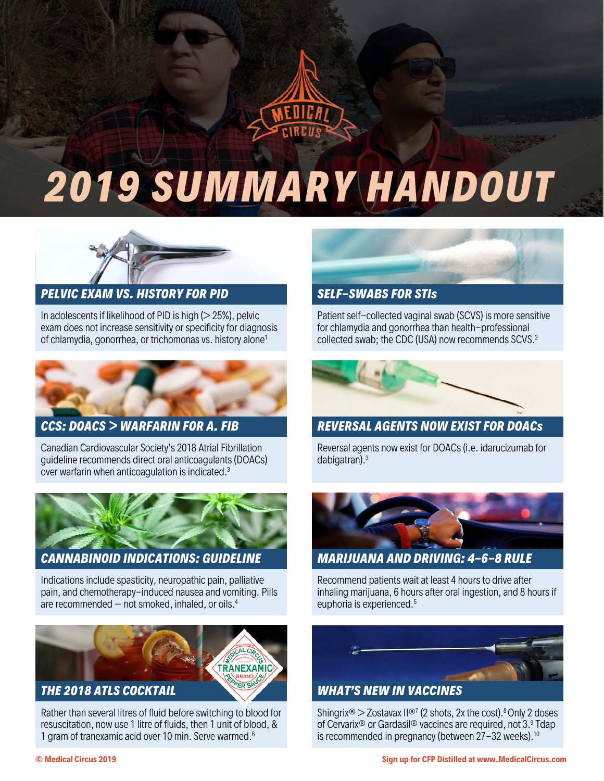

# *2019 SUMMARY HANDOUT*



### *PELVIC EXAM VS. HISTORY FOR PID SELF-SWABS FOR STIs*

In adolescents if likelihood of PID is high  $(> 25%)$ , pelvic exam does not increase sensitivity or specificity for diagnosis of chlamydia, gonorrhea, or trichomonas vs. history alone1



Canadian Cardiovascular Society's 2018 Atrial Fibrillation guideline recommends direct oral anticoagulants (DOACs) over warfarin when anticoagulation is indicated.3



Indications include spasticity, neuropathic pain, palliative pain, and chemotherapy-induced nausea and vomiting. Pills are recommended  $-$  not smoked, inhaled, or oils.<sup>4</sup>



Rather than several litres of fluid before switching to blood for resuscitation, now use 1 litre of fluids, then 1 unit of blood, & 1 gram of tranexamic acid over 10 min. Serve warmed.6



Patient self-collected vaginal swab (SCVS) is more sensitive for chlamydia and gonorrhea than health-professional collected swab; the CDC (USA) now recommends SCVS.2



## *CCS: DOACS > WARFARIN FOR A. FIB REVERSAL AGENTS NOW EXIST FOR DOACs*

Reversal agents now exist for DOACs (i.e. idarucizumab for dabigatran). 3



### *CANNABINOID INDICATIONS: GUIDELINE MARIJUANA AND DRIVING: 4-6-8 RULE*

Recommend patients wait at least 4 hours to drive after inhaling marijuana, 6 hours after oral ingestion, and 8 hours if euphoria is experienced.5



Shingrix® > Zostavax II®7 (2 shots, 2x the cost). <sup>8</sup> Only 2 doses of Cervarix® or Gardasil® vaccines are required, not 3. <sup>9</sup> Tdap is recommended in pregnancy (between 27-32 weeks).<sup>10</sup>